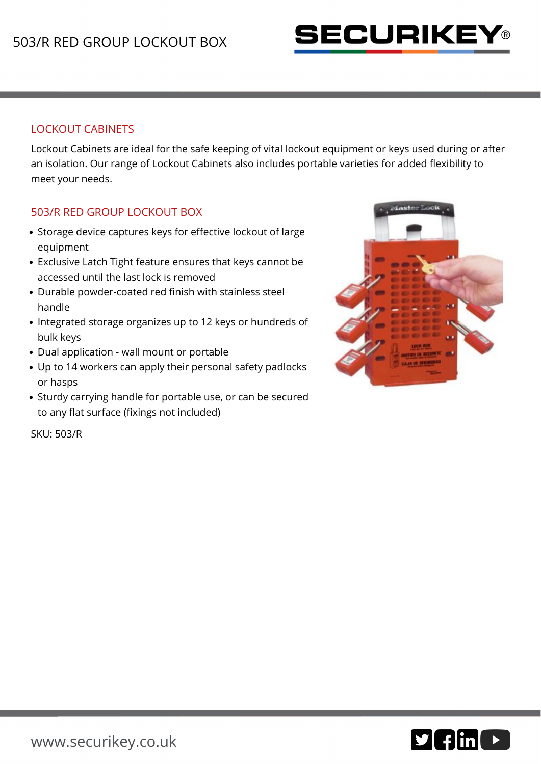

## LOCKOUT CABINETS

Lockout Cabinets are ideal for the safe keeping of vital lockout equipment or keys used during or after an isolation. Our range of Lockout Cabinets also includes portable varieties for added flexibility to meet your needs.

## 503/R RED GROUP LOCKOUT BOX

- Storage device captures keys for effective lockout of large equipment
- Exclusive Latch Tight feature ensures that keys cannot be accessed until the last lock is removed
- Durable powder-coated red finish with stainless steel handle
- Integrated storage organizes up to 12 keys or hundreds of bulk keys
- Dual application wall mount or portable
- Up to 14 workers can apply their personal safety padlocks or hasps
- Sturdy carrying handle for portable use, or can be secured to any flat surface (fixings not included)



SKU: 503/R

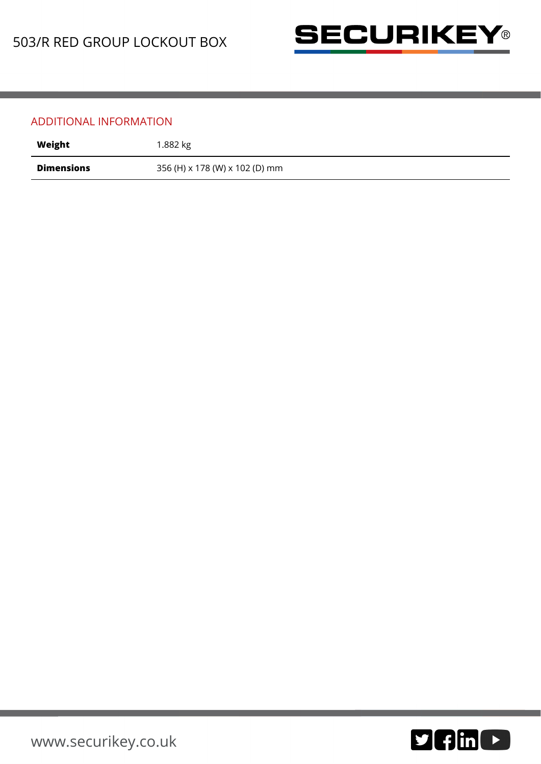

## ADDITIONAL INFORMATION

| Weight            | 1.882 kg                       |
|-------------------|--------------------------------|
| <b>Dimensions</b> | 356 (H) x 178 (W) x 102 (D) mm |